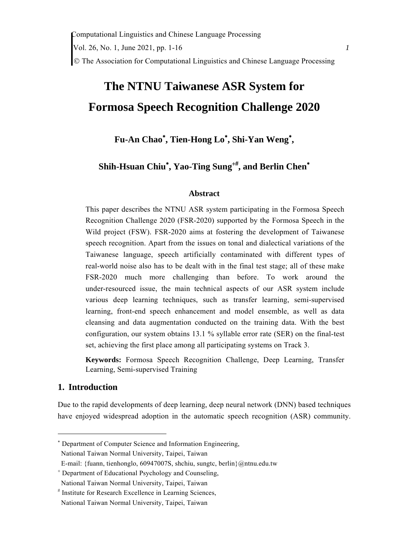The Association for Computational Linguistics and Chinese Language Processing

# **The NTNU Taiwanese ASR System for Formosa Speech Recognition Challenge 2020**

Fu-An Chao<sup>\*</sup>, Tien-Hong Lo<sup>\*</sup>, Shi-Yan Weng<sup>\*</sup>,

**Shih-Hsuan Chiu , Yao-Ting Sung, and Berlin Chen**

## **Abstract**

This paper describes the NTNU ASR system participating in the Formosa Speech Recognition Challenge 2020 (FSR-2020) supported by the Formosa Speech in the Wild project (FSW). FSR-2020 aims at fostering the development of Taiwanese speech recognition. Apart from the issues on tonal and dialectical variations of the Taiwanese language, speech artificially contaminated with different types of real-world noise also has to be dealt with in the final test stage; all of these make FSR-2020 much more challenging than before. To work around the under-resourced issue, the main technical aspects of our ASR system include various deep learning techniques, such as transfer learning, semi-supervised learning, front-end speech enhancement and model ensemble, as well as data cleansing and data augmentation conducted on the training data. With the best configuration, our system obtains 13.1 % syllable error rate (SER) on the final-test set, achieving the first place among all participating systems on Track 3.

**Keywords:** Formosa Speech Recognition Challenge, Deep Learning, Transfer Learning, Semi-supervised Training

## **1. Introduction**

Due to the rapid developments of deep learning, deep neural network (DNN) based techniques have enjoyed widespread adoption in the automatic speech recognition (ASR) community.

<sup>\*</sup> Department of Computer Science and Information Engineering,

National Taiwan Normal University, Taipei, Taiwan

E-mail: {fuann, tienhonglo, 60947007S, shchiu, sungtc, berlin}@ntnu.edu.tw

 Department of Educational Psychology and Counseling, National Taiwan Normal University, Taipei, Taiwan

<sup>#</sup> Institute for Research Excellence in Learning Sciences, National Taiwan Normal University, Taipei, Taiwan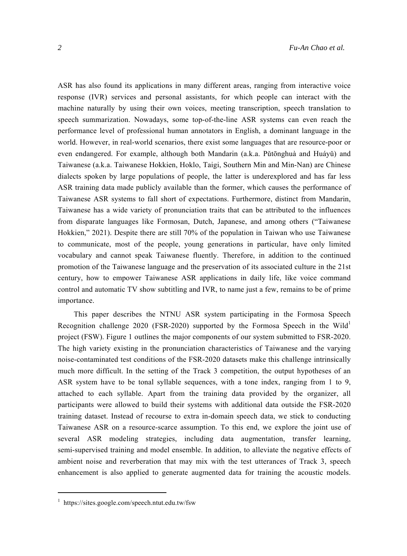ASR has also found its applications in many different areas, ranging from interactive voice response (IVR) services and personal assistants, for which people can interact with the machine naturally by using their own voices, meeting transcription, speech translation to speech summarization. Nowadays, some top-of-the-line ASR systems can even reach the performance level of professional human annotators in English, a dominant language in the world. However, in real-world scenarios, there exist some languages that are resource-poor or even endangered. For example, although both Mandarin (a.k.a. Pǔtōnghuà and Huáyǔ) and Taiwanese (a.k.a. Taiwanese Hokkien, Hoklo, Taigi, Southern Min and Min-Nan) are Chinese dialects spoken by large populations of people, the latter is underexplored and has far less ASR training data made publicly available than the former, which causes the performance of Taiwanese ASR systems to fall short of expectations. Furthermore, distinct from Mandarin, Taiwanese has a wide variety of pronunciation traits that can be attributed to the influences from disparate languages like Formosan, Dutch, Japanese, and among others ("Taiwanese Hokkien," 2021). Despite there are still 70% of the population in Taiwan who use Taiwanese to communicate, most of the people, young generations in particular, have only limited vocabulary and cannot speak Taiwanese fluently. Therefore, in addition to the continued promotion of the Taiwanese language and the preservation of its associated culture in the 21st century, how to empower Taiwanese ASR applications in daily life, like voice command control and automatic TV show subtitling and IVR, to name just a few, remains to be of prime importance.

This paper describes the NTNU ASR system participating in the Formosa Speech Recognition challenge 2020 (FSR-2020) supported by the Formosa Speech in the Wild<sup>1</sup> project (FSW). Figure 1 outlines the major components of our system submitted to FSR-2020. The high variety existing in the pronunciation characteristics of Taiwanese and the varying noise-contaminated test conditions of the FSR-2020 datasets make this challenge intrinsically much more difficult. In the setting of the Track 3 competition, the output hypotheses of an ASR system have to be tonal syllable sequences, with a tone index, ranging from 1 to 9, attached to each syllable. Apart from the training data provided by the organizer, all participants were allowed to build their systems with additional data outside the FSR-2020 training dataset. Instead of recourse to extra in-domain speech data, we stick to conducting Taiwanese ASR on a resource-scarce assumption. To this end, we explore the joint use of several ASR modeling strategies, including data augmentation, transfer learning, semi-supervised training and model ensemble. In addition, to alleviate the negative effects of ambient noise and reverberation that may mix with the test utterances of Track 3, speech enhancement is also applied to generate augmented data for training the acoustic models.

<sup>1</sup> https://sites.google.com/speech.ntut.edu.tw/fsw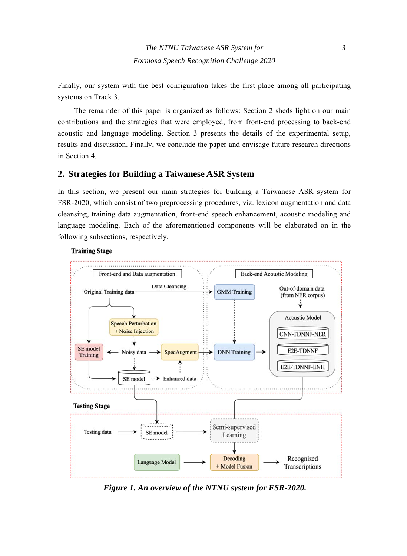Finally, our system with the best configuration takes the first place among all participating systems on Track 3.

The remainder of this paper is organized as follows: Section 2 sheds light on our main contributions and the strategies that were employed, from front-end processing to back-end acoustic and language modeling. Section 3 presents the details of the experimental setup, results and discussion. Finally, we conclude the paper and envisage future research directions in Section 4.

# **2. Strategies for Building a Taiwanese ASR System**

In this section, we present our main strategies for building a Taiwanese ASR system for FSR-2020, which consist of two preprocessing procedures, viz. lexicon augmentation and data cleansing, training data augmentation, front-end speech enhancement, acoustic modeling and language modeling. Each of the aforementioned components will be elaborated on in the following subsections, respectively.



#### **Training Stage**

*Figure 1. An overview of the NTNU system for FSR-2020.*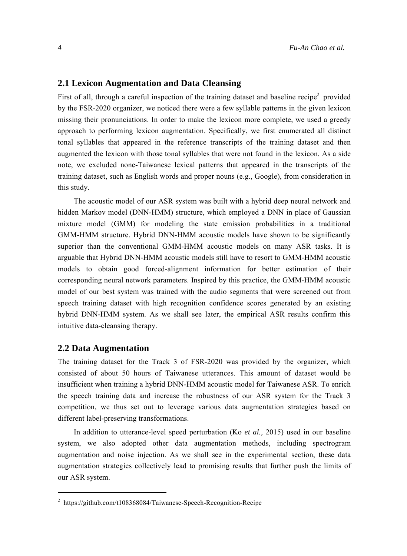#### **2.1 Lexicon Augmentation and Data Cleansing**

First of all, through a careful inspection of the training dataset and baseline recipe<sup>2</sup> provided by the FSR-2020 organizer, we noticed there were a few syllable patterns in the given lexicon missing their pronunciations. In order to make the lexicon more complete, we used a greedy approach to performing lexicon augmentation. Specifically, we first enumerated all distinct tonal syllables that appeared in the reference transcripts of the training dataset and then augmented the lexicon with those tonal syllables that were not found in the lexicon. As a side note, we excluded none-Taiwanese lexical patterns that appeared in the transcripts of the training dataset, such as English words and proper nouns (e.g., Google), from consideration in this study.

The acoustic model of our ASR system was built with a hybrid deep neural network and hidden Markov model (DNN-HMM) structure, which employed a DNN in place of Gaussian mixture model (GMM) for modeling the state emission probabilities in a traditional GMM-HMM structure. Hybrid DNN-HMM acoustic models have shown to be significantly superior than the conventional GMM-HMM acoustic models on many ASR tasks. It is arguable that Hybrid DNN-HMM acoustic models still have to resort to GMM-HMM acoustic models to obtain good forced-alignment information for better estimation of their corresponding neural network parameters. Inspired by this practice, the GMM-HMM acoustic model of our best system was trained with the audio segments that were screened out from speech training dataset with high recognition confidence scores generated by an existing hybrid DNN-HMM system. As we shall see later, the empirical ASR results confirm this intuitive data-cleansing therapy.

### **2.2 Data Augmentation**

The training dataset for the Track 3 of FSR-2020 was provided by the organizer, which consisted of about 50 hours of Taiwanese utterances. This amount of dataset would be insufficient when training a hybrid DNN-HMM acoustic model for Taiwanese ASR. To enrich the speech training data and increase the robustness of our ASR system for the Track 3 competition, we thus set out to leverage various data augmentation strategies based on different label-preserving transformations.

In addition to utterance-level speed perturbation (Ko *et al.,* 2015) used in our baseline system, we also adopted other data augmentation methods, including spectrogram augmentation and noise injection. As we shall see in the experimental section, these data augmentation strategies collectively lead to promising results that further push the limits of our ASR system.

<sup>&</sup>lt;sup>2</sup> https://github.com/t108368084/Taiwanese-Speech-Recognition-Recipe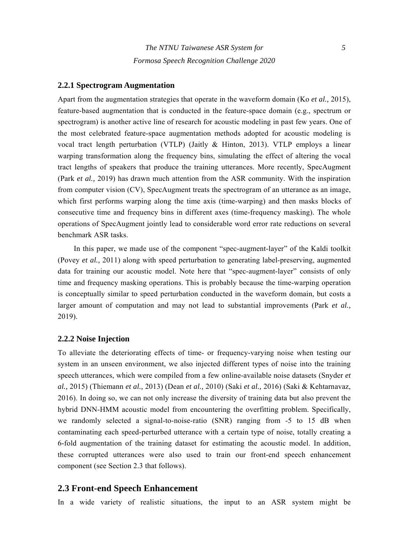#### **2.2.1 Spectrogram Augmentation**

Apart from the augmentation strategies that operate in the waveform domain (Ko *et al.,* 2015), feature-based augmentation that is conducted in the feature-space domain (e.g., spectrum or spectrogram) is another active line of research for acoustic modeling in past few years. One of the most celebrated feature-space augmentation methods adopted for acoustic modeling is vocal tract length perturbation (VTLP) (Jaitly & Hinton, 2013). VTLP employs a linear warping transformation along the frequency bins, simulating the effect of altering the vocal tract lengths of speakers that produce the training utterances. More recently, SpecAugment (Park *et al.,* 2019) has drawn much attention from the ASR community. With the inspiration from computer vision (CV), SpecAugment treats the spectrogram of an utterance as an image, which first performs warping along the time axis (time-warping) and then masks blocks of consecutive time and frequency bins in different axes (time-frequency masking). The whole operations of SpecAugment jointly lead to considerable word error rate reductions on several benchmark ASR tasks.

In this paper, we made use of the component "spec-augment-layer" of the Kaldi toolkit (Povey *et al.,* 2011) along with speed perturbation to generating label-preserving, augmented data for training our acoustic model. Note here that "spec-augment-layer" consists of only time and frequency masking operations. This is probably because the time-warping operation is conceptually similar to speed perturbation conducted in the waveform domain, but costs a larger amount of computation and may not lead to substantial improvements (Park *et al.,* 2019).

#### **2.2.2 Noise Injection**

To alleviate the deteriorating effects of time- or frequency-varying noise when testing our system in an unseen environment, we also injected different types of noise into the training speech utterances, which were compiled from a few online-available noise datasets (Snyder *et al.,* 2015) (Thiemann *et al.,* 2013) (Dean *et al.,* 2010) (Saki *et al.,* 2016) (Saki & Kehtarnavaz, 2016). In doing so, we can not only increase the diversity of training data but also prevent the hybrid DNN-HMM acoustic model from encountering the overfitting problem. Specifically, we randomly selected a signal-to-noise-ratio (SNR) ranging from -5 to 15 dB when contaminating each speed-perturbed utterance with a certain type of noise, totally creating a 6-fold augmentation of the training dataset for estimating the acoustic model. In addition, these corrupted utterances were also used to train our front-end speech enhancement component (see Section 2.3 that follows).

#### **2.3 Front-end Speech Enhancement**

In a wide variety of realistic situations, the input to an ASR system might be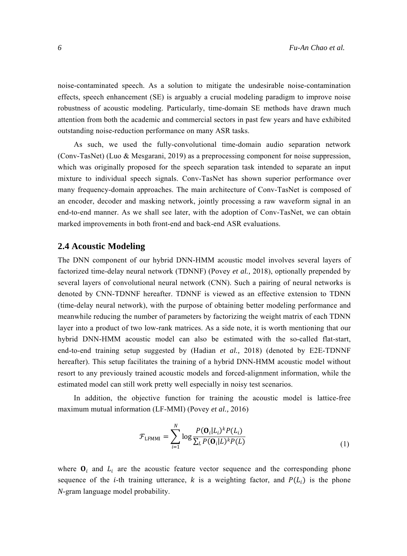noise-contaminated speech. As a solution to mitigate the undesirable noise-contamination effects, speech enhancement (SE) is arguably a crucial modeling paradigm to improve noise robustness of acoustic modeling. Particularly, time-domain SE methods have drawn much attention from both the academic and commercial sectors in past few years and have exhibited outstanding noise-reduction performance on many ASR tasks.

As such, we used the fully-convolutional time-domain audio separation network (Conv-TasNet) (Luo & Mesgarani, 2019) as a preprocessing component for noise suppression, which was originally proposed for the speech separation task intended to separate an input mixture to individual speech signals. Conv-TasNet has shown superior performance over many frequency-domain approaches. The main architecture of Conv-TasNet is composed of an encoder, decoder and masking network, jointly processing a raw waveform signal in an end-to-end manner. As we shall see later, with the adoption of Conv-TasNet, we can obtain marked improvements in both front-end and back-end ASR evaluations.

## **2.4 Acoustic Modeling**

The DNN component of our hybrid DNN-HMM acoustic model involves several layers of factorized time-delay neural network (TDNNF) (Povey *et al.,* 2018), optionally prepended by several layers of convolutional neural network (CNN). Such a pairing of neural networks is denoted by CNN-TDNNF hereafter. TDNNF is viewed as an effective extension to TDNN (time-delay neural network), with the purpose of obtaining better modeling performance and meanwhile reducing the number of parameters by factorizing the weight matrix of each TDNN layer into a product of two low-rank matrices. As a side note, it is worth mentioning that our hybrid DNN-HMM acoustic model can also be estimated with the so-called flat-start, end-to-end training setup suggested by (Hadian *et al.,* 2018) (denoted by E2E-TDNNF hereafter). This setup facilitates the training of a hybrid DNN-HMM acoustic model without resort to any previously trained acoustic models and forced-alignment information, while the estimated model can still work pretty well especially in noisy test scenarios.

In addition, the objective function for training the acoustic model is lattice-free maximum mutual information (LF-MMI) (Povey *et al.,* 2016)

$$
\mathcal{F}_{LFMMI} = \sum_{i=1}^{N} \log \frac{P(\mathbf{O}_i | L_i)^k P(L_i)}{\sum_{L} P(\mathbf{O}_i | L)^k P(L)}
$$
(1)

where  $\mathbf{O}_i$  and  $L_i$  are the acoustic feature vector sequence and the corresponding phone sequence of the *i*-th training utterance, *k* is a weighting factor, and  $P(L<sub>i</sub>)$  is the phone *N*-gram language model probability.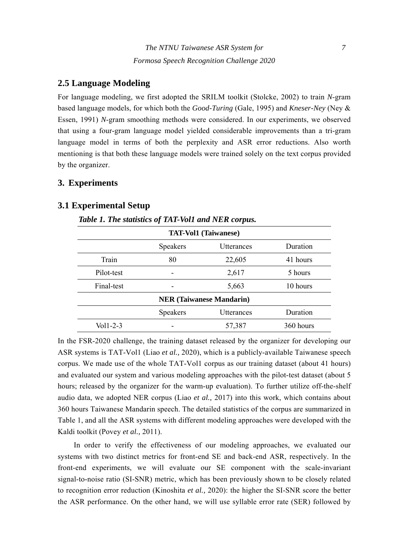# **2.5 Language Modeling**

For language modeling, we first adopted the SRILM toolkit (Stolcke, 2002) to train *N*-gram based language models, for which both the *Good-Turing* (Gale, 1995) and *Kneser-Ney* (Ney & Essen, 1991) *N*-gram smoothing methods were considered. In our experiments, we observed that using a four-gram language model yielded considerable improvements than a tri-gram language model in terms of both the perplexity and ASR error reductions. Also worth mentioning is that both these language models were trained solely on the text corpus provided by the organizer.

# **3. Experiments**

# **3.1 Experimental Setup**

*Table 1. The statistics of TAT-Vol1 and NER corpus.* 

| <b>TAT-Vol1 (Taiwanese)</b> |                                 |            |           |  |
|-----------------------------|---------------------------------|------------|-----------|--|
|                             | Speakers                        | Utterances | Duration  |  |
| Train                       | 80                              | 22,605     | 41 hours  |  |
| Pilot-test                  |                                 | 2,617      | 5 hours   |  |
| Final-test                  |                                 | 5,663      | 10 hours  |  |
|                             | <b>NER</b> (Taiwanese Mandarin) |            |           |  |
|                             | Speakers                        | Utterances | Duration  |  |
| Vol1-2-3                    |                                 | 57,387     | 360 hours |  |

In the FSR-2020 challenge, the training dataset released by the organizer for developing our ASR systems is TAT-Vol1 (Liao *et al.,* 2020), which is a publicly-available Taiwanese speech corpus. We made use of the whole TAT-Vol1 corpus as our training dataset (about 41 hours) and evaluated our system and various modeling approaches with the pilot-test dataset (about 5 hours; released by the organizer for the warm-up evaluation). To further utilize off-the-shelf audio data, we adopted NER corpus (Liao *et al.,* 2017) into this work, which contains about 360 hours Taiwanese Mandarin speech. The detailed statistics of the corpus are summarized in Table 1, and all the ASR systems with different modeling approaches were developed with the Kaldi toolkit (Povey *et al.,* 2011).

In order to verify the effectiveness of our modeling approaches, we evaluated our systems with two distinct metrics for front-end SE and back-end ASR, respectively. In the front-end experiments, we will evaluate our SE component with the scale-invariant signal-to-noise ratio (SI-SNR) metric, which has been previously shown to be closely related to recognition error reduction (Kinoshita *et al.,* 2020): the higher the SI-SNR score the better the ASR performance. On the other hand, we will use syllable error rate (SER) followed by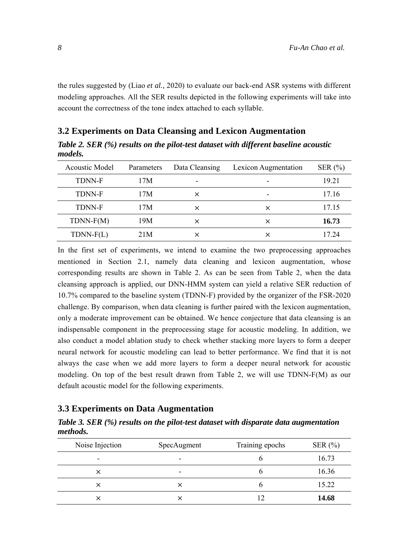the rules suggested by (Liao *et al.,* 2020) to evaluate our back-end ASR systems with different modeling approaches. All the SER results depicted in the following experiments will take into account the correctness of the tone index attached to each syllable.

## **3.2 Experiments on Data Cleansing and Lexicon Augmentation**

*Table 2. SER (%) results on the pilot-test dataset with different baseline acoustic models.* 

| <b>Acoustic Model</b> | Parameters | Data Cleansing | Lexicon Augmentation | SER $(\% )$ |
|-----------------------|------------|----------------|----------------------|-------------|
| <b>TDNN-F</b>         | 17M        | ۰              | -                    | 19.21       |
| <b>TDNN-F</b>         | 17M        | ×              |                      | 17.16       |
| <b>TDNN-F</b>         | 17M        | ×              | $\times$             | 17.15       |
| $TDNN-F(M)$           | 19M        | ×              | ×                    | 16.73       |
| $TDNN-F(L)$           | 21M        | ×              | ×                    | 17 24       |

In the first set of experiments, we intend to examine the two preprocessing approaches mentioned in Section 2.1, namely data cleaning and lexicon augmentation, whose corresponding results are shown in Table 2. As can be seen from Table 2, when the data cleansing approach is applied, our DNN-HMM system can yield a relative SER reduction of 10.7% compared to the baseline system (TDNN-F) provided by the organizer of the FSR-2020 challenge. By comparison, when data cleaning is further paired with the lexicon augmentation, only a moderate improvement can be obtained. We hence conjecture that data cleansing is an indispensable component in the preprocessing stage for acoustic modeling. In addition, we also conduct a model ablation study to check whether stacking more layers to form a deeper neural network for acoustic modeling can lead to better performance. We find that it is not always the case when we add more layers to form a deeper neural network for acoustic modeling. On top of the best result drawn from Table 2, we will use TDNN-F(M) as our default acoustic model for the following experiments.

## **3.3 Experiments on Data Augmentation**

*Table 3. SER (%) results on the pilot-test dataset with disparate data augmentation methods.* 

| Noise Injection          | SpecAugment | Training epochs | SER $(\% )$ |
|--------------------------|-------------|-----------------|-------------|
| $\overline{\phantom{0}}$ | $\,$        |                 | 16.73       |
| ×                        | $\,$        | O               | 16.36       |
| ×                        |             |                 | 15.22       |
| $\times$                 |             |                 | 14.68       |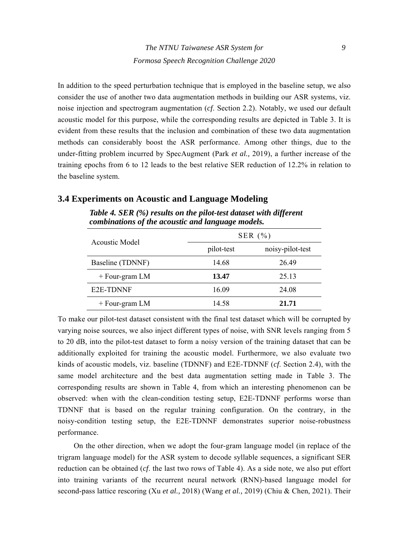In addition to the speed perturbation technique that is employed in the baseline setup, we also consider the use of another two data augmentation methods in building our ASR systems, viz. noise injection and spectrogram augmentation (*cf*. Section 2.2). Notably, we used our default acoustic model for this purpose, while the corresponding results are depicted in Table 3. It is evident from these results that the inclusion and combination of these two data augmentation methods can considerably boost the ASR performance. Among other things, due to the under-fitting problem incurred by SpecAugment (Park *et al.,* 2019), a further increase of the training epochs from 6 to 12 leads to the best relative SER reduction of 12.2% in relation to the baseline system.

# *Table 4. SER (%) results on the pilot-test dataset with different combinations of the acoustic and language models.*

**3.4 Experiments on Acoustic and Language Modeling** 

| Acoustic Model         | SER $(\% )$ |                  |  |
|------------------------|-------------|------------------|--|
|                        | pilot-test  | noisy-pilot-test |  |
| Baseline (TDNNF)       | 14.68       | 26.49            |  |
| $+$ Four-gram LM       | 13.47       | 25.13            |  |
| E <sub>2</sub> E-TDNNF | 16.09       | 24.08            |  |
| $+$ Four-gram LM       | 14.58       | 21.71            |  |

To make our pilot-test dataset consistent with the final test dataset which will be corrupted by varying noise sources, we also inject different types of noise, with SNR levels ranging from 5 to 20 dB, into the pilot-test dataset to form a noisy version of the training dataset that can be additionally exploited for training the acoustic model. Furthermore, we also evaluate two kinds of acoustic models, viz. baseline (TDNNF) and E2E-TDNNF (*cf*. Section 2.4), with the same model architecture and the best data augmentation setting made in Table 3. The corresponding results are shown in Table 4, from which an interesting phenomenon can be observed: when with the clean-condition testing setup, E2E-TDNNF performs worse than TDNNF that is based on the regular training configuration. On the contrary, in the noisy-condition testing setup, the E2E-TDNNF demonstrates superior noise-robustness performance.

On the other direction, when we adopt the four-gram language model (in replace of the trigram language model) for the ASR system to decode syllable sequences, a significant SER reduction can be obtained (*cf*. the last two rows of Table 4). As a side note, we also put effort into training variants of the recurrent neural network (RNN)-based language model for second-pass lattice rescoring (Xu *et al.,* 2018) (Wang *et al.,* 2019) (Chiu & Chen, 2021). Their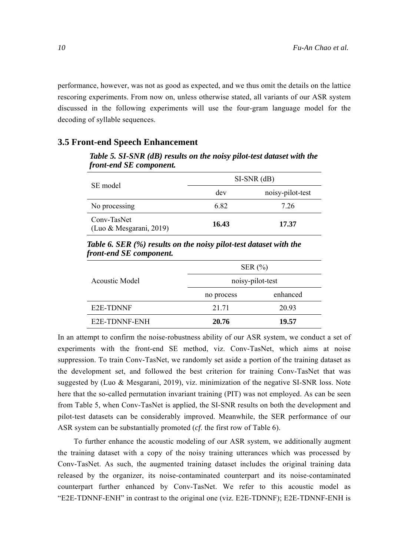performance, however, was not as good as expected, and we thus omit the details on the lattice rescoring experiments. From now on, unless otherwise stated, all variants of our ASR system discussed in the following experiments will use the four-gram language model for the decoding of syllable sequences.

## **3.5 Front-end Speech Enhancement**

*Table 5. SI-SNR (dB) results on the noisy pilot-test dataset with the front-end SE component.*  SE model SI-SNR (dB)

| SE model                               | SI-SNR (dB) |                  |  |
|----------------------------------------|-------------|------------------|--|
|                                        | dev         | noisy-pilot-test |  |
| No processing                          | 6.82        | 7.26             |  |
| Conv-TasNet<br>(Luo & Mesgarani, 2019) | 16.43       | 17.37            |  |

*Table 6. SER (%) results on the noisy pilot-test dataset with the front-end SE component.* 

|                            | SER $(\% )$      |          |  |
|----------------------------|------------------|----------|--|
| Acoustic Model             | noisy-pilot-test |          |  |
|                            | no process       | enhanced |  |
| E <sub>2</sub> E-TDNNF     | 21.71            | 20.93    |  |
| E <sub>2</sub> E-TDNNF-ENH | 20.76            | 19.57    |  |

In an attempt to confirm the noise-robustness ability of our ASR system, we conduct a set of experiments with the front-end SE method, viz. Conv-TasNet, which aims at noise suppression. To train Conv-TasNet, we randomly set aside a portion of the training dataset as the development set, and followed the best criterion for training Conv-TasNet that was suggested by (Luo & Mesgarani, 2019), viz. minimization of the negative SI-SNR loss. Note here that the so-called permutation invariant training (PIT) was not employed. As can be seen from Table 5, when Conv-TasNet is applied, the SI-SNR results on both the development and pilot-test datasets can be considerably improved. Meanwhile, the SER performance of our ASR system can be substantially promoted (*cf*. the first row of Table 6).

To further enhance the acoustic modeling of our ASR system, we additionally augment the training dataset with a copy of the noisy training utterances which was processed by Conv-TasNet. As such, the augmented training dataset includes the original training data released by the organizer, its noise-contaminated counterpart and its noise-contaminated counterpart further enhanced by Conv-TasNet. We refer to this acoustic model as "E2E-TDNNF-ENH" in contrast to the original one (viz. E2E-TDNNF); E2E-TDNNF-ENH is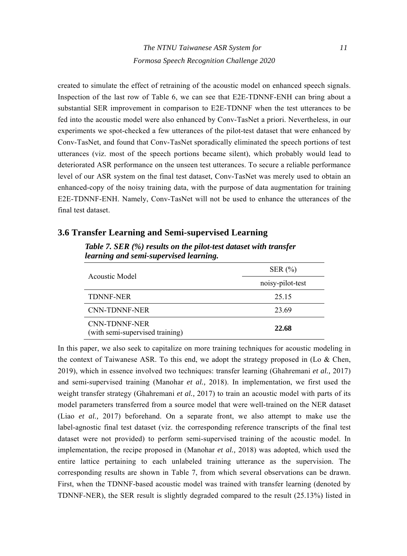created to simulate the effect of retraining of the acoustic model on enhanced speech signals. Inspection of the last row of Table 6, we can see that E2E-TDNNF-ENH can bring about a substantial SER improvement in comparison to E2E-TDNNF when the test utterances to be fed into the acoustic model were also enhanced by Conv-TasNet a priori. Nevertheless, in our experiments we spot-checked a few utterances of the pilot-test dataset that were enhanced by Conv-TasNet, and found that Conv-TasNet sporadically eliminated the speech portions of test utterances (viz. most of the speech portions became silent), which probably would lead to deteriorated ASR performance on the unseen test utterances. To secure a reliable performance level of our ASR system on the final test dataset, Conv-TasNet was merely used to obtain an enhanced-copy of the noisy training data, with the purpose of data augmentation for training E2E-TDNNF-ENH. Namely, Conv-TasNet will not be used to enhance the utterances of the final test dataset.

| <u>real heles and schee supervised fearmers</u> . | SER $(\% )$<br>noisy-pilot-test |  |
|---------------------------------------------------|---------------------------------|--|
| Acoustic Model                                    |                                 |  |
| <b>TDNNF-NER</b>                                  | 25.15                           |  |
| CNN-TDNNF-NER                                     | 23.69                           |  |
| CNN-TDNNF-NER<br>(with semi-supervised training)  | 22.68                           |  |

### **3.6 Transfer Learning and Semi-supervised Learning**

*Table 7. SER (%) results on the pilot-test dataset with transfer learning and semi-supervised learning.* 

In this paper, we also seek to capitalize on more training techniques for acoustic modeling in the context of Taiwanese ASR. To this end, we adopt the strategy proposed in (Lo  $\&$  Chen, 2019), which in essence involved two techniques: transfer learning (Ghahremani *et al.,* 2017) and semi-supervised training (Manohar *et al.,* 2018). In implementation, we first used the weight transfer strategy (Ghahremani *et al.,* 2017) to train an acoustic model with parts of its model parameters transferred from a source model that were well-trained on the NER dataset (Liao *et al.,* 2017) beforehand. On a separate front, we also attempt to make use the label-agnostic final test dataset (viz. the corresponding reference transcripts of the final test dataset were not provided) to perform semi-supervised training of the acoustic model. In implementation, the recipe proposed in (Manohar *et al.,* 2018) was adopted, which used the entire lattice pertaining to each unlabeled training utterance as the supervision. The corresponding results are shown in Table 7, from which several observations can be drawn. First, when the TDNNF-based acoustic model was trained with transfer learning (denoted by TDNNF-NER), the SER result is slightly degraded compared to the result (25.13%) listed in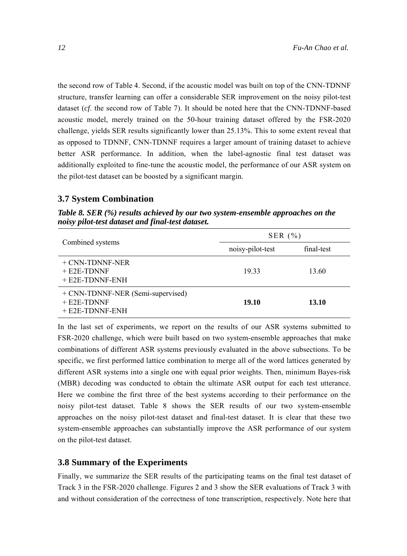the second row of Table 4. Second, if the acoustic model was built on top of the CNN-TDNNF structure, transfer learning can offer a considerable SER improvement on the noisy pilot-test dataset (*cf*. the second row of Table 7). It should be noted here that the CNN-TDNNF-based acoustic model, merely trained on the 50-hour training dataset offered by the FSR-2020 challenge, yields SER results significantly lower than 25.13%. This to some extent reveal that as opposed to TDNNF, CNN-TDNNF requires a larger amount of training dataset to achieve better ASR performance. In addition, when the label-agnostic final test dataset was additionally exploited to fine-tune the acoustic model, the performance of our ASR system on the pilot-test dataset can be boosted by a significant margin.

# **3.7 System Combination**

*Table 8. SER (%) results achieved by our two system-ensemble approaches on the noisy pilot-test dataset and final-test dataset.* 

|                                                                         | SER $(\% )$      |            |  |
|-------------------------------------------------------------------------|------------------|------------|--|
| Combined systems                                                        | noisy-pilot-test | final-test |  |
| + CNN-TDNNF-NER<br>$+$ E2E-TDNNF<br>$+$ E2E-TDNNF-ENH                   | 19.33            | 13.60      |  |
| + CNN-TDNNF-NER (Semi-supervised)<br>$+$ E2E-TDNNF<br>$+$ E2E-TDNNF-ENH | 19.10            | 13.10      |  |

In the last set of experiments, we report on the results of our ASR systems submitted to FSR-2020 challenge, which were built based on two system-ensemble approaches that make combinations of different ASR systems previously evaluated in the above subsections. To be specific, we first performed lattice combination to merge all of the word lattices generated by different ASR systems into a single one with equal prior weights. Then, minimum Bayes-risk (MBR) decoding was conducted to obtain the ultimate ASR output for each test utterance. Here we combine the first three of the best systems according to their performance on the noisy pilot-test dataset. Table 8 shows the SER results of our two system-ensemble approaches on the noisy pilot-test dataset and final-test dataset. It is clear that these two system-ensemble approaches can substantially improve the ASR performance of our system on the pilot-test dataset.

## **3.8 Summary of the Experiments**

Finally, we summarize the SER results of the participating teams on the final test dataset of Track 3 in the FSR-2020 challenge. Figures 2 and 3 show the SER evaluations of Track 3 with and without consideration of the correctness of tone transcription, respectively. Note here that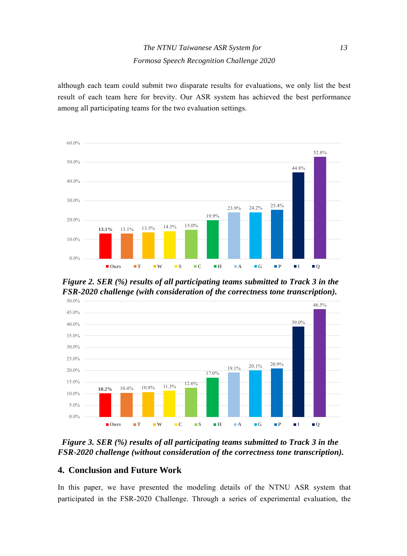although each team could submit two disparate results for evaluations, we only list the best result of each team here for brevity. Our ASR system has achieved the best performance among all participating teams for the two evaluation settings.



*Figure 2. SER (%) results of all participating teams submitted to Track 3 in the FSR-2020 challenge (with consideration of the correctness tone transcription).* 



*Figure 3. SER (%) results of all participating teams submitted to Track 3 in the FSR-2020 challenge (without consideration of the correctness tone transcription).* 

# **4. Conclusion and Future Work**

In this paper, we have presented the modeling details of the NTNU ASR system that participated in the FSR-2020 Challenge. Through a series of experimental evaluation, the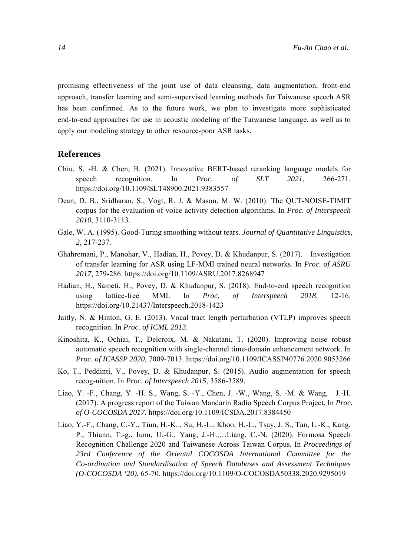promising effectiveness of the joint use of data cleansing, data augmentation, front-end approach, transfer learning and semi-supervised learning methods for Taiwanese speech ASR has been confirmed. As to the future work, we plan to investigate more sophisticated end-to-end approaches for use in acoustic modeling of the Taiwanese language, as well as to apply our modeling strategy to other resource-poor ASR tasks.

### **References**

- Chiu, S. -H. & Chen, B. (2021). Innovative BERT-based reranking language models for speech recognition. In *Proc. of SLT 2021*, 266-271. https://doi.org/10.1109/SLT48900.2021.9383557
- Dean, D. B., Sridharan, S., Vogt, R. J. & Mason, M. W. (2010). The QUT-NOISE-TIMIT corpus for the evaluation of voice activity detection algorithms. In *Proc. of Interspeech 2010*, 3110-3113.
- Gale, W. A. (1995). Good-Turing smoothing without tears. *Journal of Quantitative Linguistics*, *2*, 217-237.
- Ghahremani, P., Manohar, V., Hadian, H., Povey, D. & Khudanpur, S. (2017). Investigation of transfer learning for ASR using LF-MMI trained neural networks. In *Proc. of ASRU 2017*, 279-286. https://doi.org/10.1109/ASRU.2017.8268947
- Hadian, H., Sameti, H., Povey, D. & Khudanpur, S. (2018). End-to-end speech recognition using lattice-free MMI. In *Proc. of Interspeech 2018*, 12-16. https://doi.org/10.21437/Interspeech.2018-1423
- Jaitly, N. & Hinton, G. E. (2013). Vocal tract length perturbation (VTLP) improves speech recognition. In *Proc. of ICML 2013*.
- Kinoshita, K., Ochiai, T., Delcroix, M. & Nakatani, T. (2020). Improving noise robust automatic speech recognition with single-channel time-domain enhancement network. In *Proc. of ICASSP 2020*, 7009-7013. https://doi.org/10.1109/ICASSP40776.2020.9053266
- Ko, T., Peddinti, V., Povey, D. & Khudanpur, S. (2015). Audio augmentation for speech recog-nition. In *Proc. of Interspeech 2015*, 3586-3589.
- Liao, Y. -F., Chang, Y. -H. S., Wang, S. -Y., Chen, J. -W., Wang, S. -M. & Wang, J.-H. (2017). A progress report of the Taiwan Mandarin Radio Speech Corpus Project. In *Proc. of O-COCOSDA 2017*. https://doi.org/10.1109/ICSDA.2017.8384450
- Liao, Y.-F., Chang, C.-Y., Tiun, H.-K.., Su, H.-L., Khoo, H.-L., Tsay, J. S., Tan, L.-K., Kang, P., Thiann, T.-g., Iunn, U.-G., Yang, J.-H.,…Liang, C.-N. (2020). Formosa Speech Recognition Challenge 2020 and Taiwanese Across Taiwan Corpus. In *Proceedings of 23rd Conference of the Oriental COCOSDA International Committee for the Co-ordination and Standardisation of Speech Databases and Assessment Techniques (O-COCOSDA '20)*, 65-70. https://doi.org/10.1109/O-COCOSDA50338.2020.9295019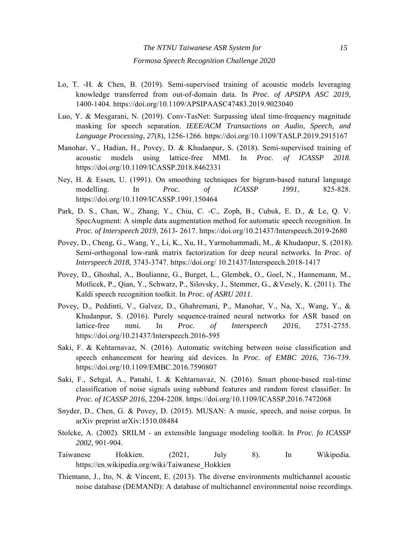- Lo, T. -H. & Chen, B. (2019). Semi-supervised training of acoustic models leveraging knowledge transferred from out-of-domain data. In *Proc. of APSIPA ASC 2019*, 1400-1404. https://doi.org/10.1109/APSIPAASC47483.2019.9023040
- Luo, Y. & Mesgarani, N. (2019). Conv-TasNet: Surpassing ideal time-frequency magnitude masking for speech separation. *IEEE/ACM Transactions on Audio, Speech, and Language Processing*, *27*(8), 1256-1266. https://doi.org/10.1109/TASLP.2019.2915167
- Manohar, V., Hadian, H., Povey, D. & Khudanpur, S. (2018). Semi-supervised training of acoustic models using lattice-free MMI. In *Proc. of ICASSP 2018*. https://doi.org/10.1109/ICASSP.2018.8462331
- Ney, H. & Essen, U. (1991). On smoothing techniques for bigram-based natural language modelling. In *Proc. of ICASSP 1991*, 825-828. https://doi.org/10.1109/ICASSP.1991.150464
- Park, D. S., Chan, W., Zhang, Y., Chiu, C. -C., Zoph, B., Cubuk, E. D., & Le, Q. V. SpecAugment: A simple data augmentation method for automatic speech recognition. In *Proc. of Interspeech 2019*, 2613- 2617. https://doi.org/10.21437/Interspeech.2019-2680
- Povey, D., Cheng, G., Wang, Y., Li, K., Xu, H., Yarmohammadi, M., & Khudanpur, S. (2018). Semi-orthogonal low-rank matrix factorization for deep neural networks. In *Proc. of Interspeech 2018*, 3743-3747. https://doi.org/ 10.21437/Interspeech.2018-1417
- Povey, D., Ghoshal, A., Boulianne, G., Burget, L., Glembek, O., Goel, N., Hannemann, M., Motlicek, P., Qian, Y., Schwarz, P., Silovsky, J., Stemmer, G., &Vesely, K. (2011). The Kaldi speech recognition toolkit. In *Proc. of ASRU 2011*.
- Povey, D., Peddinti, V., Galvez, D., Ghahremani, P., Manohar, V., Na, X., Wang, Y., & Khudanpur, S. (2016). Purely sequence-trained neural networks for ASR based on lattice-free mmi. In *Proc. of Interspeech 2016*, 2751-2755. https://doi.org/10.21437/Interspeech.2016-595
- Saki, F. & Kehtarnavaz, N. (2016). Automatic switching between noise classification and speech enhancement for hearing aid devices. In *Proc. of EMBC 2016*, 736-739. https://doi.org/10.1109/EMBC.2016.7590807
- Saki, F., Sehgal, A., Panahi, I. & Kehtarnavaz, N. (2016). Smart phone-based real-time classification of noise signals using subband features and random forest classifier. In *Proc. of ICASSP 2016*, 2204-2208. https://doi.org/10.1109/ICASSP.2016.7472068
- Snyder, D., Chen, G. & Povey, D. (2015). MUSAN: A music, speech, and noise corpus. In arXiv preprint arXiv:1510.08484
- Stolcke, A. (2002). SRILM an extensible language modeling toolkit. In *Proc. fo ICASSP 2002*, 901-904.
- Taiwanese Hokkien. (2021, July 8). In Wikipedia. https://en.wikipedia.org/wiki/Taiwanese\_Hokkien
- Thiemann, J., Ito, N. & Vincent, E. (2013). The diverse environments multichannel acoustic noise database (DEMAND): A database of multichannel environmental noise recordings.